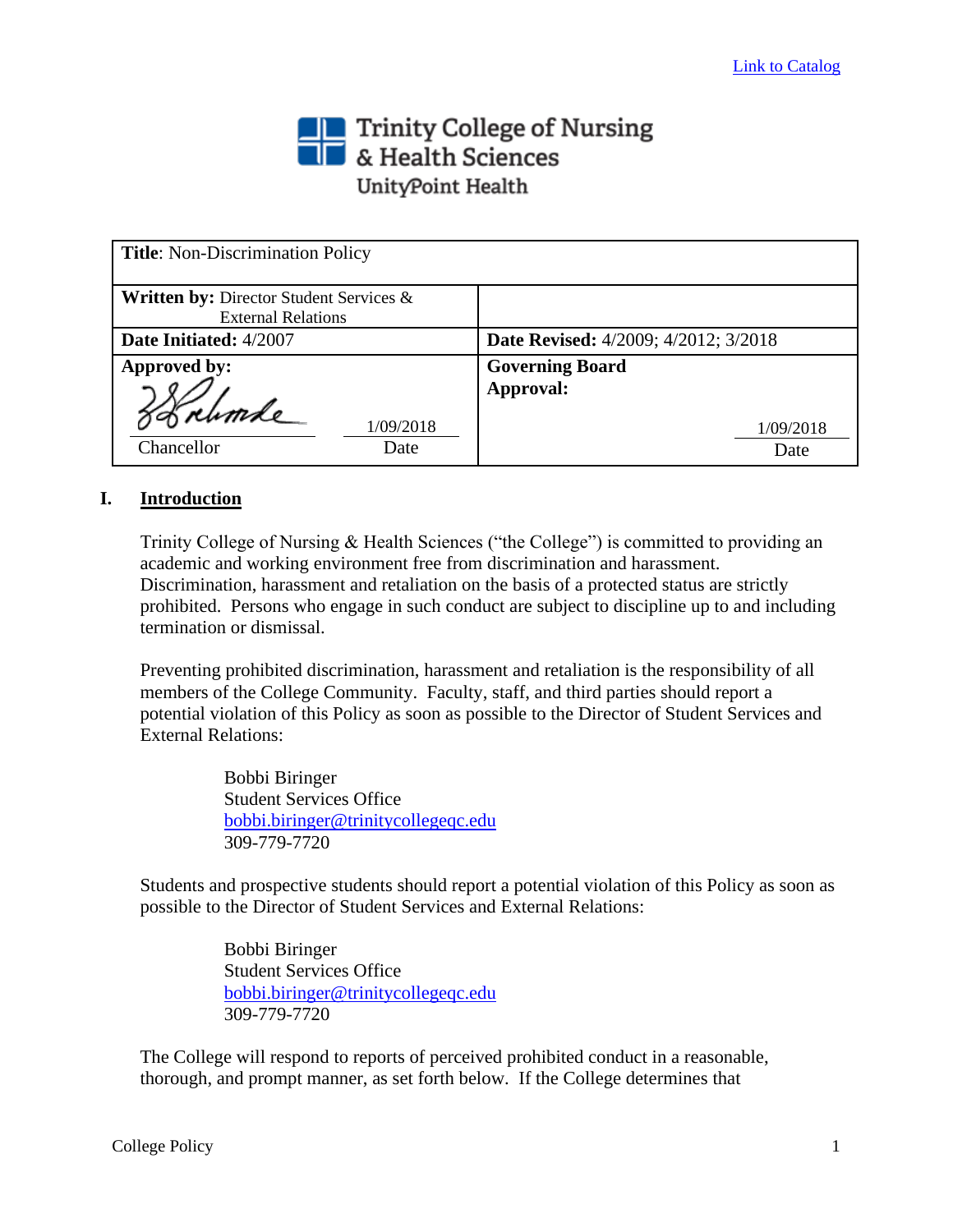# Trinity College of Nursing<br> **The State Sciences** UnityPoint Health

| <b>Title:</b> Non-Discrimination Policy                                         |                                             |
|---------------------------------------------------------------------------------|---------------------------------------------|
| <b>Written by: Director Student Services &amp;</b><br><b>External Relations</b> |                                             |
| Date Initiated: 4/2007                                                          | <b>Date Revised:</b> 4/2009; 4/2012; 3/2018 |
| Approved by:                                                                    | <b>Governing Board</b>                      |
| 1/09/2018<br>Chancellor<br>Date                                                 | Approval:<br>1/09/2018<br>Date              |

# **I. Introduction**

Trinity College of Nursing & Health Sciences ("the College") is committed to providing an academic and working environment free from discrimination and harassment. Discrimination, harassment and retaliation on the basis of a protected status are strictly prohibited. Persons who engage in such conduct are subject to discipline up to and including termination or dismissal.

Preventing prohibited discrimination, harassment and retaliation is the responsibility of all members of the College Community. Faculty, staff, and third parties should report a potential violation of this Policy as soon as possible to the Director of Student Services and External Relations:

> Bobbi Biringer Student Services Office [bobbi.biringer@trinitycollegeqc.edu](mailto:bobbi.biringer@trinitycollegeqc.edu) 309-779-7720

Students and prospective students should report a potential violation of this Policy as soon as possible to the Director of Student Services and External Relations:

> Bobbi Biringer Student Services Office [bobbi.biringer@trinitycollegeqc.edu](mailto:bobbi.biringer@trinitycollegeqc.edu) 309-779-7720

The College will respond to reports of perceived prohibited conduct in a reasonable, thorough, and prompt manner, as set forth below. If the College determines that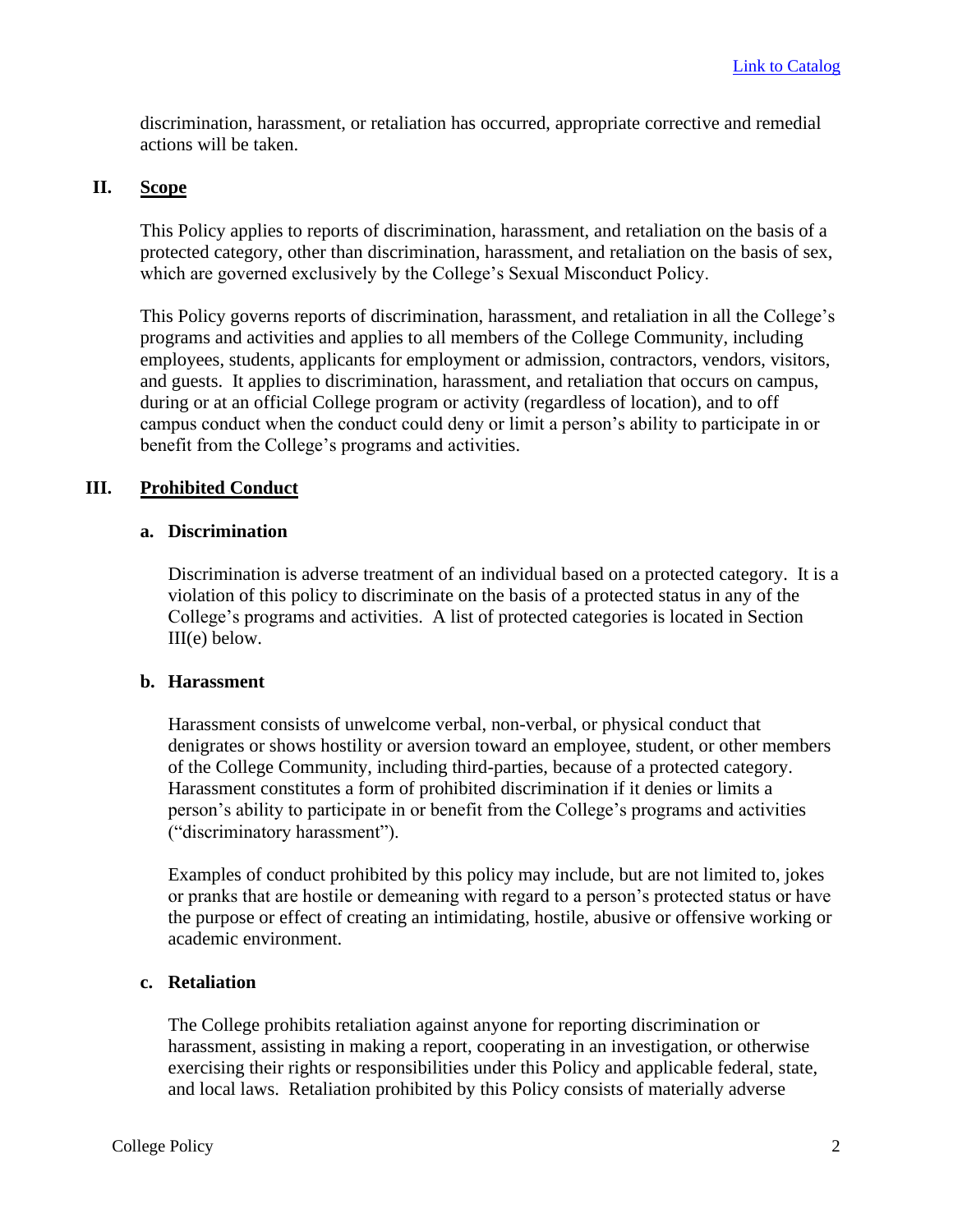discrimination, harassment, or retaliation has occurred, appropriate corrective and remedial actions will be taken.

# **II. Scope**

This Policy applies to reports of discrimination, harassment, and retaliation on the basis of a protected category, other than discrimination, harassment, and retaliation on the basis of sex, which are governed exclusively by the College's Sexual Misconduct Policy.

This Policy governs reports of discrimination, harassment, and retaliation in all the College's programs and activities and applies to all members of the College Community, including employees, students, applicants for employment or admission, contractors, vendors, visitors, and guests. It applies to discrimination, harassment, and retaliation that occurs on campus, during or at an official College program or activity (regardless of location), and to off campus conduct when the conduct could deny or limit a person's ability to participate in or benefit from the College's programs and activities.

# **III. Prohibited Conduct**

# **a. Discrimination**

Discrimination is adverse treatment of an individual based on a protected category. It is a violation of this policy to discriminate on the basis of a protected status in any of the College's programs and activities. A list of protected categories is located in Section III(e) below.

# **b. Harassment**

Harassment consists of unwelcome verbal, non-verbal, or physical conduct that denigrates or shows hostility or aversion toward an employee, student, or other members of the College Community, including third-parties, because of a protected category. Harassment constitutes a form of prohibited discrimination if it denies or limits a person's ability to participate in or benefit from the College's programs and activities ("discriminatory harassment").

Examples of conduct prohibited by this policy may include, but are not limited to, jokes or pranks that are hostile or demeaning with regard to a person's protected status or have the purpose or effect of creating an intimidating, hostile, abusive or offensive working or academic environment.

# **c. Retaliation**

The College prohibits retaliation against anyone for reporting discrimination or harassment, assisting in making a report, cooperating in an investigation, or otherwise exercising their rights or responsibilities under this Policy and applicable federal, state, and local laws. Retaliation prohibited by this Policy consists of materially adverse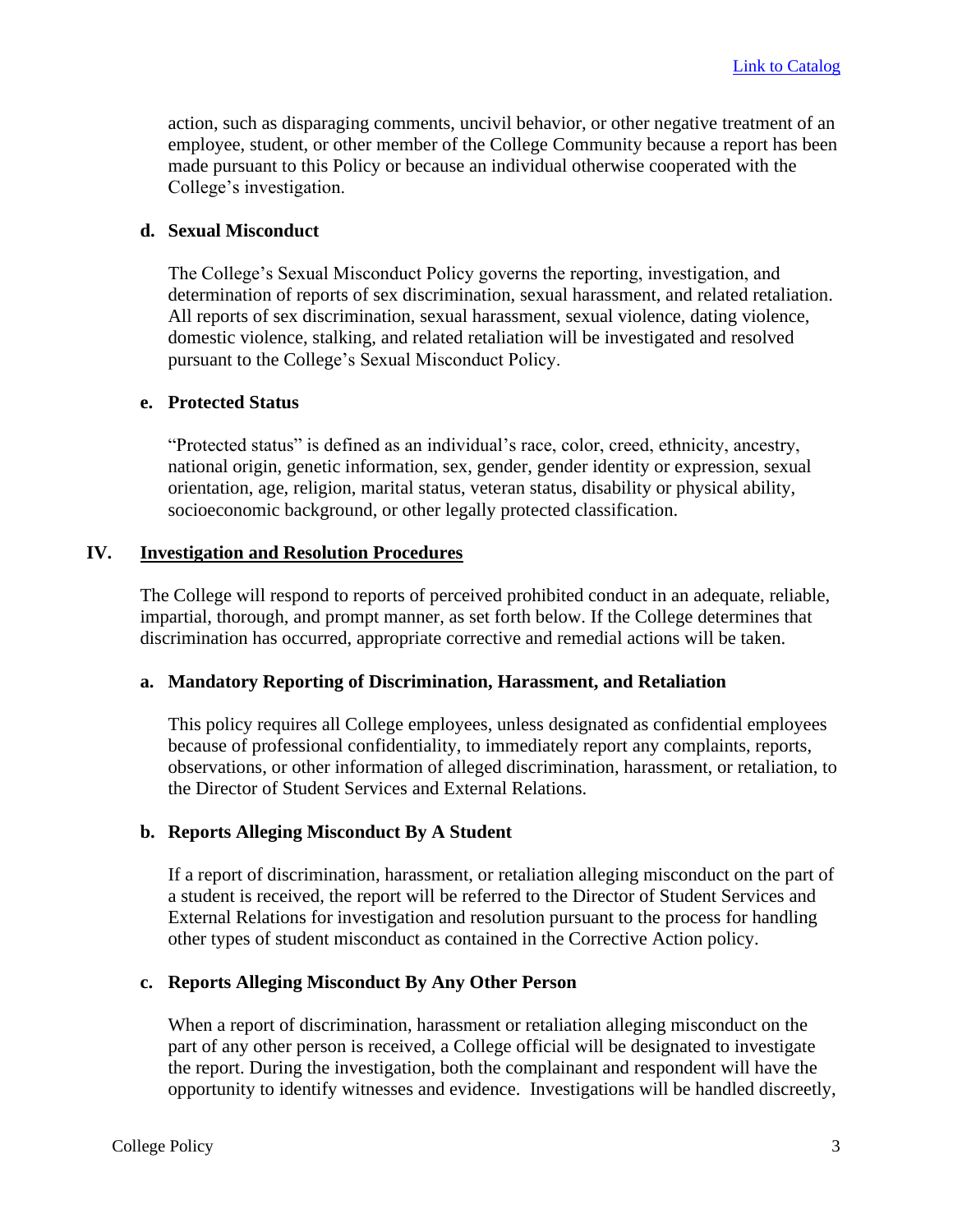action, such as disparaging comments, uncivil behavior, or other negative treatment of an employee, student, or other member of the College Community because a report has been made pursuant to this Policy or because an individual otherwise cooperated with the College's investigation.

## **d. Sexual Misconduct**

The College's Sexual Misconduct Policy governs the reporting, investigation, and determination of reports of sex discrimination, sexual harassment, and related retaliation. All reports of sex discrimination, sexual harassment, sexual violence, dating violence, domestic violence, stalking, and related retaliation will be investigated and resolved pursuant to the College's Sexual Misconduct Policy.

# **e. Protected Status**

"Protected status" is defined as an individual's race, color, creed, ethnicity, ancestry, national origin, genetic information, sex, gender, gender identity or expression, sexual orientation, age, religion, marital status, veteran status, disability or physical ability, socioeconomic background, or other legally protected classification.

## **IV. Investigation and Resolution Procedures**

The College will respond to reports of perceived prohibited conduct in an adequate, reliable, impartial, thorough, and prompt manner, as set forth below. If the College determines that discrimination has occurred, appropriate corrective and remedial actions will be taken.

## **a. Mandatory Reporting of Discrimination, Harassment, and Retaliation**

This policy requires all College employees, unless designated as confidential employees because of professional confidentiality, to immediately report any complaints, reports, observations, or other information of alleged discrimination, harassment, or retaliation, to the Director of Student Services and External Relations.

## **b. Reports Alleging Misconduct By A Student**

If a report of discrimination, harassment, or retaliation alleging misconduct on the part of a student is received, the report will be referred to the Director of Student Services and External Relations for investigation and resolution pursuant to the process for handling other types of student misconduct as contained in the Corrective Action policy.

## **c. Reports Alleging Misconduct By Any Other Person**

When a report of discrimination, harassment or retaliation alleging misconduct on the part of any other person is received, a College official will be designated to investigate the report. During the investigation, both the complainant and respondent will have the opportunity to identify witnesses and evidence. Investigations will be handled discreetly,